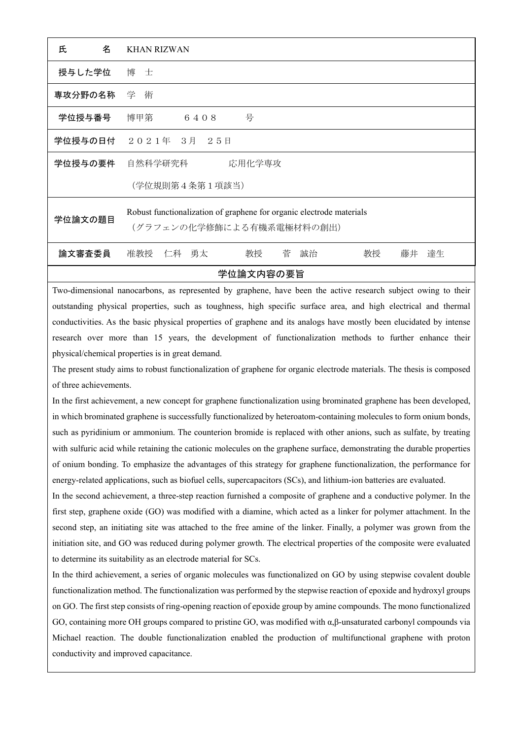| 名<br>氏                                                                                                                                                                                                                         | <b>KHAN RIZWAN</b>                                                                                |
|--------------------------------------------------------------------------------------------------------------------------------------------------------------------------------------------------------------------------------|---------------------------------------------------------------------------------------------------|
| 授与した学位                                                                                                                                                                                                                         | 博士                                                                                                |
| 専攻分野の名称                                                                                                                                                                                                                        | 学 術                                                                                               |
| 学位授与番号                                                                                                                                                                                                                         | 号<br>博甲第<br>6408                                                                                  |
|                                                                                                                                                                                                                                | 学位授与の日付 2021年 3月 25日                                                                              |
| 学位授与の要件                                                                                                                                                                                                                        | 自然科学研究科<br>応用化学専攻                                                                                 |
|                                                                                                                                                                                                                                | (学位規則第4条第1項該当)                                                                                    |
| 学位論文の題目                                                                                                                                                                                                                        | Robust functionalization of graphene for organic electrode materials<br>(グラフェンの化学修飾による有機系電極材料の創出) |
| 論文審査委員                                                                                                                                                                                                                         | 教授<br>菅<br>教授<br>准教授 仁科 勇太<br>誠治<br>藤井<br>達生                                                      |
| 学位論文内容の要旨                                                                                                                                                                                                                      |                                                                                                   |
| The contribution of the contribution of the contribution of the contribution of the contribution of the contribution of the contribution of the contribution of the contribution of the contribution of the contribution of th |                                                                                                   |

Two-dimensional nanocarbons, as represented by graphene, have been the active research subject owing to their outstanding physical properties, such as toughness, high specific surface area, and high electrical and thermal conductivities. As the basic physical properties of graphene and its analogs have mostly been elucidated by intense research over more than 15 years, the development of functionalization methods to further enhance their physical/chemical properties is in great demand.

The present study aims to robust functionalization of graphene for organic electrode materials. The thesis is composed of three achievements.

In the first achievement, a new concept for graphene functionalization using brominated graphene has been developed, in which brominated graphene is successfully functionalized by heteroatom-containing molecules to form onium bonds, such as pyridinium or ammonium. The counterion bromide is replaced with other anions, such as sulfate, by treating with sulfuric acid while retaining the cationic molecules on the graphene surface, demonstrating the durable properties of onium bonding. To emphasize the advantages of this strategy for graphene functionalization, the performance for energy-related applications, such as biofuel cells, supercapacitors (SCs), and lithium-ion batteries are evaluated.

In the second achievement, a three-step reaction furnished a composite of graphene and a conductive polymer. In the first step, graphene oxide (GO) was modified with a diamine, which acted as a linker for polymer attachment. In the second step, an initiating site was attached to the free amine of the linker. Finally, a polymer was grown from the initiation site, and GO was reduced during polymer growth. The electrical properties of the composite were evaluated to determine its suitability as an electrode material for SCs.

In the third achievement, a series of organic molecules was functionalized on GO by using stepwise covalent double functionalization method. The functionalization was performed by the stepwise reaction of epoxide and hydroxyl groups on GO. The first step consists of ring-opening reaction of epoxide group by amine compounds. The mono functionalized GO, containing more OH groups compared to pristine GO, was modified with α,β-unsaturated carbonyl compounds via Michael reaction. The double functionalization enabled the production of multifunctional graphene with proton conductivity and improved capacitance.